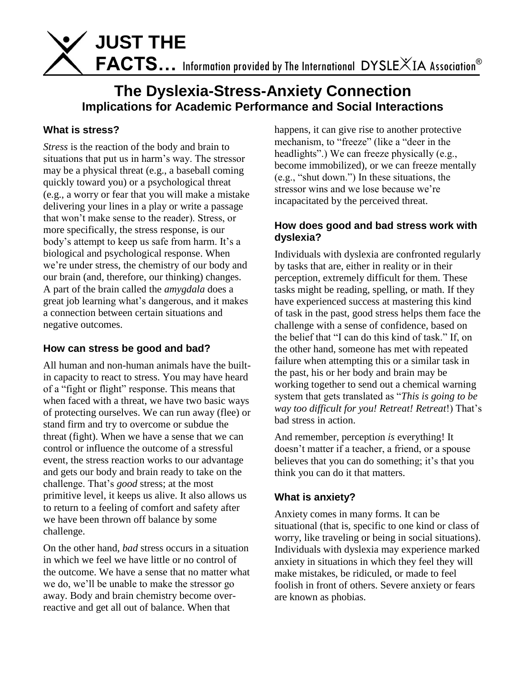FACTS... Information provided by The International DYSLEXIA Association<sup>®</sup>

# **The Dyslexia-Stress-Anxiety Connection Implications for Academic Performance and Social Interactions**

#### **What is stress?**

*Stress* is the reaction of the body and brain to situations that put us in harm's way. The stressor may be a physical threat (e.g., a baseball coming quickly toward you) or a psychological threat (e.g., a worry or fear that you will make a mistake delivering your lines in a play or write a passage that won't make sense to the reader). Stress, or more specifically, the stress response, is our body's attempt to keep us safe from harm. It's a biological and psychological response. When we're under stress, the chemistry of our body and our brain (and, therefore, our thinking) changes. A part of the brain called the *amygdala* does a great job learning what's dangerous, and it makes a connection between certain situations and negative outcomes.

 **JUST THE**

#### **How can stress be good and bad?**

All human and non-human animals have the builtin capacity to react to stress. You may have heard of a "fight or flight" response. This means that when faced with a threat, we have two basic ways of protecting ourselves. We can run away (flee) or stand firm and try to overcome or subdue the threat (fight). When we have a sense that we can control or influence the outcome of a stressful event, the stress reaction works to our advantage and gets our body and brain ready to take on the challenge. That's *good* stress; at the most primitive level, it keeps us alive. It also allows us to return to a feeling of comfort and safety after we have been thrown off balance by some challenge.

On the other hand, *bad* stress occurs in a situation in which we feel we have little or no control of the outcome. We have a sense that no matter what we do, we'll be unable to make the stressor go away. Body and brain chemistry become overreactive and get all out of balance. When that

happens, it can give rise to another protective mechanism, to "freeze" (like a "deer in the headlights".) We can freeze physically (e.g., become immobilized), or we can freeze mentally (e.g., "shut down.") In these situations, the stressor wins and we lose because we're incapacitated by the perceived threat.

#### **How does good and bad stress work with dyslexia?**

Individuals with dyslexia are confronted regularly by tasks that are, either in reality or in their perception, extremely difficult for them. These tasks might be reading, spelling, or math. If they have experienced success at mastering this kind of task in the past, good stress helps them face the challenge with a sense of confidence, based on the belief that "I can do this kind of task." If, on the other hand, someone has met with repeated failure when attempting this or a similar task in the past, his or her body and brain may be working together to send out a chemical warning system that gets translated as "*This is going to be way too difficult for you! Retreat! Retreat*!) That's bad stress in action.

And remember, perception *is* everything! It doesn't matter if a teacher, a friend, or a spouse believes that you can do something; it's that you think you can do it that matters.

#### **What is anxiety?**

Anxiety comes in many forms. It can be situational (that is, specific to one kind or class of worry, like traveling or being in social situations). Individuals with dyslexia may experience marked anxiety in situations in which they feel they will make mistakes, be ridiculed, or made to feel foolish in front of others. Severe anxiety or fears are known as phobias.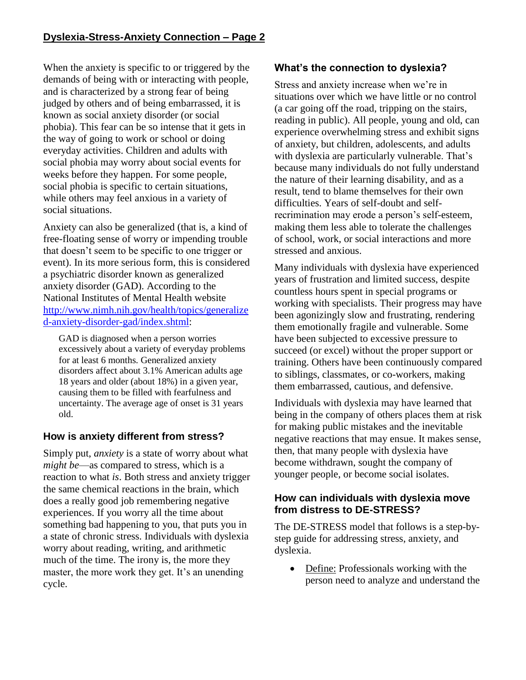When the anxiety is specific to or triggered by the demands of being with or interacting with people, and is characterized by a strong fear of being judged by others and of being embarrassed, it is known as social anxiety disorder (or social phobia). This fear can be so intense that it gets in the way of going to work or school or doing everyday activities. Children and adults with social phobia may worry about social events for weeks before they happen. For some people, social phobia is specific to certain situations, while others may feel anxious in a variety of social situations.

Anxiety can also be generalized (that is, a kind of free-floating sense of worry or impending trouble that doesn't seem to be specific to one trigger or event). In its more serious form, this is considered a psychiatric disorder known as generalized anxiety disorder (GAD). According to the National Institutes of Mental Health website [http://www.nimh.nih.gov/health/topics/generalize](http://www.nimh.nih.gov/health/topics/generalized-anxiety-disorder-gad/index.shtml) [d-anxiety-disorder-gad/index.shtml:](http://www.nimh.nih.gov/health/topics/generalized-anxiety-disorder-gad/index.shtml)

GAD is diagnosed when a person worries excessively about a variety of everyday problems for at least 6 months. Generalized anxiety disorders affect about 3.1% American adults age 18 years and older (about 18%) in a given year, causing them to be filled with fearfulness and uncertainty. The average age of onset is 31 years old.

## **How is anxiety different from stress?**

Simply put, *anxiety* is a state of worry about what *might be*—as compared to stress, which is a reaction to what *is*. Both stress and anxiety trigger the same chemical reactions in the brain, which does a really good job remembering negative experiences. If you worry all the time about something bad happening to you, that puts you in a state of chronic stress. Individuals with dyslexia worry about reading, writing, and arithmetic much of the time. The irony is, the more they master, the more work they get. It's an unending cycle.

## **What's the connection to dyslexia?**

Stress and anxiety increase when we're in situations over which we have little or no control (a car going off the road, tripping on the stairs, reading in public). All people, young and old, can experience overwhelming stress and exhibit signs of anxiety, but children, adolescents, and adults with dyslexia are particularly vulnerable. That's because many individuals do not fully understand the nature of their learning disability, and as a result, tend to blame themselves for their own difficulties. Years of self-doubt and selfrecrimination may erode a person's self-esteem, making them less able to tolerate the challenges of school, work, or social interactions and more stressed and anxious.

Many individuals with dyslexia have experienced years of frustration and limited success, despite countless hours spent in special programs or working with specialists. Their progress may have been agonizingly slow and frustrating, rendering them emotionally fragile and vulnerable. Some have been subjected to excessive pressure to succeed (or excel) without the proper support or training. Others have been continuously compared to siblings, classmates, or co-workers, making them embarrassed, cautious, and defensive.

Individuals with dyslexia may have learned that being in the company of others places them at risk for making public mistakes and the inevitable negative reactions that may ensue. It makes sense, then, that many people with dyslexia have become withdrawn, sought the company of younger people, or become social isolates.

#### **How can individuals with dyslexia move from distress to DE-STRESS?**

The DE-STRESS model that follows is a step-bystep guide for addressing stress, anxiety, and dyslexia.

• Define: Professionals working with the person need to analyze and understand the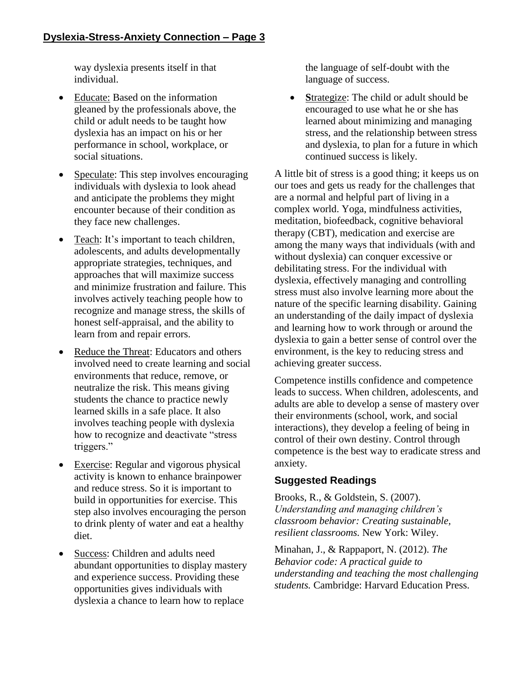way dyslexia presents itself in that individual.

- Educate: Based on the information gleaned by the professionals above, the child or adult needs to be taught how dyslexia has an impact on his or her performance in school, workplace, or social situations.
- Speculate: This step involves encouraging individuals with dyslexia to look ahead and anticipate the problems they might encounter because of their condition as they face new challenges.
- Teach: It's important to teach children, adolescents, and adults developmentally appropriate strategies, techniques, and approaches that will maximize success and minimize frustration and failure. This involves actively teaching people how to recognize and manage stress, the skills of honest self-appraisal, and the ability to learn from and repair errors.
- Reduce the Threat: Educators and others involved need to create learning and social environments that reduce, remove, or neutralize the risk. This means giving students the chance to practice newly learned skills in a safe place. It also involves teaching people with dyslexia how to recognize and deactivate "stress triggers."
- **•** Exercise: Regular and vigorous physical activity is known to enhance brainpower and reduce stress. So it is important to build in opportunities for exercise. This step also involves encouraging the person to drink plenty of water and eat a healthy diet.
- Success: Children and adults need abundant opportunities to display mastery and experience success. Providing these opportunities gives individuals with dyslexia a chance to learn how to replace

the language of self-doubt with the language of success.

• **Strategize:** The child or adult should be encouraged to use what he or she has learned about minimizing and managing stress, and the relationship between stress and dyslexia, to plan for a future in which continued success is likely.

A little bit of stress is a good thing; it keeps us on our toes and gets us ready for the challenges that are a normal and helpful part of living in a complex world. Yoga, mindfulness activities, meditation, biofeedback, cognitive behavioral therapy (CBT), medication and exercise are among the many ways that individuals (with and without dyslexia) can conquer excessive or debilitating stress. For the individual with dyslexia, effectively managing and controlling stress must also involve learning more about the nature of the specific learning disability. Gaining an understanding of the daily impact of dyslexia and learning how to work through or around the dyslexia to gain a better sense of control over the environment, is the key to reducing stress and achieving greater success.

Competence instills confidence and competence leads to success. When children, adolescents, and adults are able to develop a sense of mastery over their environments (school, work, and social interactions), they develop a feeling of being in control of their own destiny. Control through competence is the best way to eradicate stress and anxiety.

## **Suggested Readings**

Brooks, R., & Goldstein, S. (2007). *Understanding and managing children's classroom behavior: Creating sustainable, resilient classrooms.* New York: Wiley.

Minahan, J., & Rappaport, N. (2012). *The Behavior code: A practical guide to understanding and teaching the most challenging students.* Cambridge: Harvard Education Press.